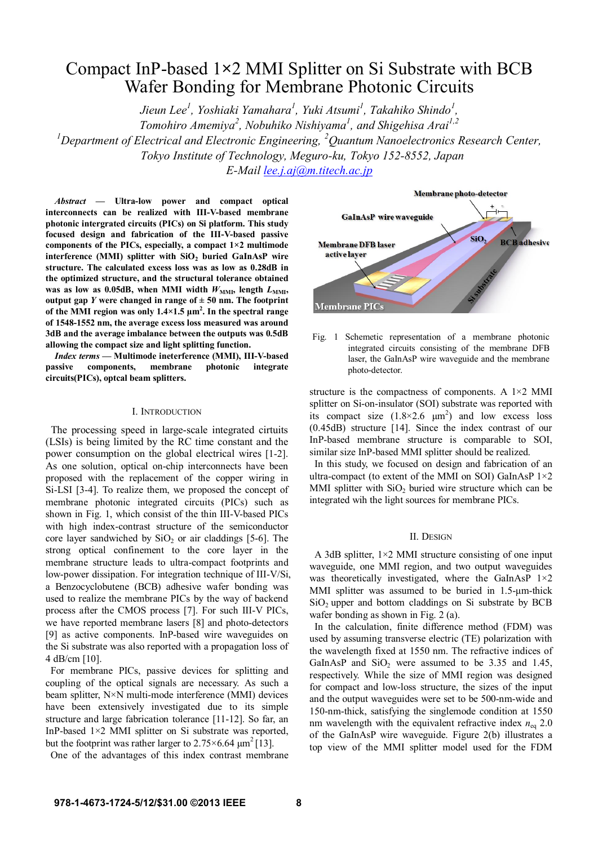# Compact InP-based 1**×**2 MMI Splitter on Si Substrate with BCB Wafer Bonding for Membrane Photonic Circuits

*Jieun Lee<sup>1</sup> , Yoshiaki Yamahara<sup>1</sup> , Yuki Atsumi<sup>1</sup> , Takahiko Shindo<sup>1</sup> , Tomohiro Amemiya<sup>2</sup> , Nobuhiko Nishiyama<sup>1</sup> , and Shigehisa Arai1,2 <sup>1</sup>Department of Electrical and Electronic Engineering, <sup>2</sup>Quantum Nanoelectronics Research Center, Tokyo Institute of Technology, Meguro-ku, Tokyo 152-8552, Japan E-Mail lee.j.aj@m.titech.ac.jp*

*Abstract* **— Ultra-low power and compact optical interconnects can be realized with III-V-based membrane photonic intergrated circuits (PICs) on Si platform. This study focused design and fabrication of the III-V-based passive components of the PICs, especially, a compact 1×2 multimode interference (MMI) splitter with SiO<sup>2</sup> buried GaInAsP wire structure. The calculated excess loss was as low as 0.28dB in the optimized structure, and the structural tolerance obtained** was as low as 0.05dB, when MMI width  $W_{\text{MMI}}$ , length  $L_{\text{MMI}}$ , **output gap** *Y* **were changed in range of**  $\pm$  **50 nm. The footprint of the MMI region was only 1.4×1.5 μm 2 . In the spectral range of 1548-1552 nm, the average excess loss measured was around 3dB and the average imbalance between the outputs was 0.5dB allowing the compact size and light splitting function.**

*Index terms* **— Multimode ineterference (MMI), III-V-based passive components, membrane photonic integrate circuits(PICs), optcal beam splitters.** 

# I. INTRODUCTION

The processing speed in large-scale integrated cirtuits (LSIs) is being limited by the RC time constant and the power consumption on the global electrical wires [1-2]. As one solution, optical on-chip interconnects have been proposed with the replacement of the copper wiring in Si-LSI [3-4]. To realize them, we proposed the concept of membrane photonic integrated circuits (PICs) such as shown in Fig. 1, which consist of the thin III-V-based PICs with high index-contrast structure of the semiconductor core layer sandwiched by  $SiO<sub>2</sub>$  or air claddings [5-6]. The strong optical confinement to the core layer in the membrane structure leads to ultra-compact footprints and low-power dissipation. For integration technique of III-V/Si, a Benzocyclobutene (BCB) adhesive wafer bonding was used to realize the membrane PICs by the way of backend process after the CMOS process [7]. For such III-V PICs, we have reported membrane lasers [8] and photo-detectors [9] as active components. InP-based wire waveguides on the Si substrate was also reported with a propagation loss of 4 dB/cm [10].

For membrane PICs, passive devices for splitting and coupling of the optical signals are necessary. As such a beam splitter, N×N multi-mode interference (MMI) devices have been extensively investigated due to its simple structure and large fabrication tolerance [11-12]. So far, an InP-based  $1\times2$  MMI splitter on Si substrate was reported, but the footprint was rather larger to  $2.75 \times 6.64 \text{ }\mu\text{m}^2$  [13].

One of the advantages of this index contrast membrane



Fig. 1 Schemetic representation of a membrane photonic integrated circuits consisting of the membrane DFB laser, the GaInAsP wire waveguide and the membrane photo-detector.

structure is the compactness of components. A  $1\times2$  MMI splitter on Si-on-insulator (SOI) substrate was reported with its compact size  $(1.8\times2.6 \mu m^2)$  and low excess loss (0.45dB) structure [14]. Since the index contrast of our InP-based membrane structure is comparable to SOI, similar size InP-based MMI splitter should be realized.

In this study, we focused on design and fabrication of an ultra-compact (to extent of the MMI on SOI) GaInAsP  $1\times2$ MMI splitter with  $SiO<sub>2</sub>$  buried wire structure which can be integrated wih the light sources for membrane PICs.

### II. DESIGN

A 3dB splitter,  $1\times2$  MMI structure consisting of one input waveguide, one MMI region, and two output waveguides was theoretically investigated, where the GaInAsP  $1\times 2$ MMI splitter was assumed to be buried in 1.5-um-thick  $SiO<sub>2</sub>$  upper and bottom claddings on Si substrate by BCB wafer bonding as shown in Fig. 2 (a).

In the calculation, finite difference method (FDM) was used by assuming transverse electric (TE) polarization with the wavelength fixed at 1550 nm. The refractive indices of GaInAsP and  $SiO<sub>2</sub>$  were assumed to be 3.35 and 1.45, respectively. While the size of MMI region was designed for compact and low-loss structure, the sizes of the input and the output waveguides were set to be 500-nm-wide and 150-nm-thick, satisfying the singlemode condition at 1550 nm wavelength with the equivalent refractive index  $n_{eq}$  2.0 of the GaInAsP wire waveguide. Figure 2(b) illustrates a top view of the MMI splitter model used for the FDM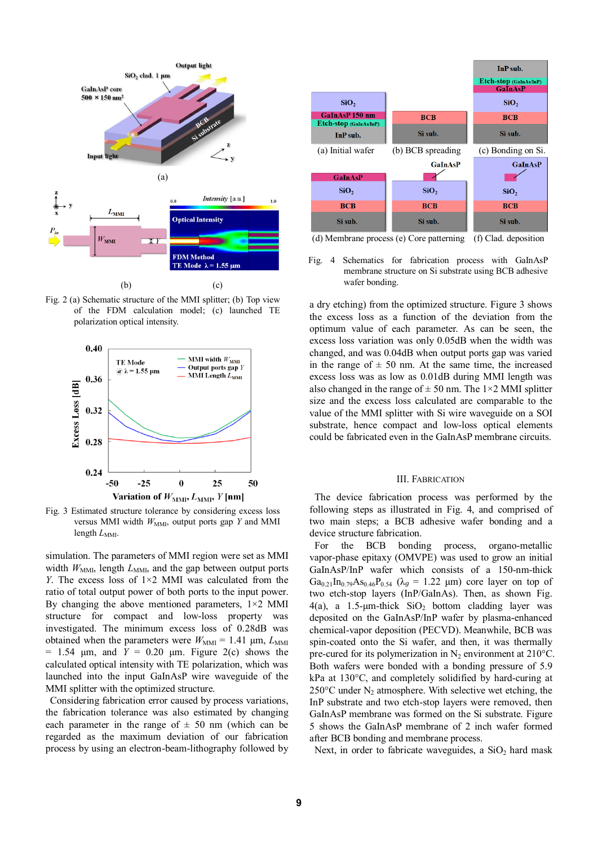

Fig. 2 (a) Schematic structure of the MMI splitter; (b) Top view of the FDM calculation model; (c) launched TE polarization optical intensity.



Fig. 3 Estimated structure tolerance by considering excess loss versus MMI width  $W_{MMI}$ , output ports gap *Y* and MMI length  $L_{\text{MMI}}$ .

simulation. The parameters of MMI region were set as MMI width  $W_{\text{MMI}}$ , length  $L_{\text{MMI}}$ , and the gap between output ports *Y*. The excess loss of 1×2 MMI was calculated from the ratio of total output power of both ports to the input power. By changing the above mentioned parameters,  $1\times2$  MMI structure for compact and low-loss property was investigated. The minimum excess loss of 0.28dB was obtained when the parameters were  $W_{\text{MMI}} = 1.41 \, \mu \text{m}$ ,  $L_{\text{MMI}}$  $= 1.54$  μm, and  $Y = 0.20$  μm. Figure 2(c) shows the calculated optical intensity with TE polarization, which was launched into the input GaInAsP wire waveguide of the MMI splitter with the optimized structure.

Considering fabrication error caused by process variations, the fabrication tolerance was also estimated by changing each parameter in the range of  $\pm$  50 nm (which can be regarded as the maximum deviation of our fabrication process by using an electron-beam-lithography followed by



Fig. 4 Schematics for fabrication process with GaInAsP membrane structure on Si substrate using BCB adhesive wafer bonding.

a dry etching) from the optimized structure. Figure 3 shows the excess loss as a function of the deviation from the optimum value of each parameter. As can be seen, the excess loss variation was only 0.05dB when the width was changed, and was 0.04dB when output ports gap was varied in the range of  $\pm$  50 nm. At the same time, the increased excess loss was as low as 0.01dB during MMI length was also changed in the range of  $\pm$  50 nm. The 1×2 MMI splitter size and the excess loss calculated are comparable to the value of the MMI splitter with Si wire waveguide on a SOI substrate, hence compact and low-loss optical elements could be fabricated even in the GaInAsP membrane circuits.

## III. FABRICATION

The device fabrication process was performed by the following steps as illustrated in Fig. 4, and comprised of two main steps; a BCB adhesive wafer bonding and a device structure fabrication.

For the BCB bonding process, organo-metallic vapor-phase epitaxy (OMVPE) was used to grow an initial GaInAsP/InP wafer which consists of a 150-nm-thick Ga<sub>0.21</sub>In<sub>0.79</sub>As<sub>0.46</sub>P<sub>0.54</sub> ( $\lambda_g = 1.22$  µm) core layer on top of two etch-stop layers (InP/GaInAs). Then, as shown Fig. 4(a), a 1.5-µm-thick  $SiO<sub>2</sub>$  bottom cladding layer was deposited on the GaInAsP/InP wafer by plasma-enhanced chemical-vapor deposition (PECVD). Meanwhile, BCB was spin-coated onto the Si wafer, and then, it was thermally pre-cured for its polymerization in  $N_2$  environment at 210 $^{\circ}$ C. Both wafers were bonded with a bonding pressure of 5.9 kPa at 130°C, and completely solidified by hard-curing at  $250^{\circ}$ C under N<sub>2</sub> atmosphere. With selective wet etching, the InP substrate and two etch-stop layers were removed, then GaInAsP membrane was formed on the Si substrate. Figure 5 shows the GaInAsP membrane of 2 inch wafer formed after BCB bonding and membrane process.

Next, in order to fabricate waveguides, a  $SiO<sub>2</sub>$  hard mask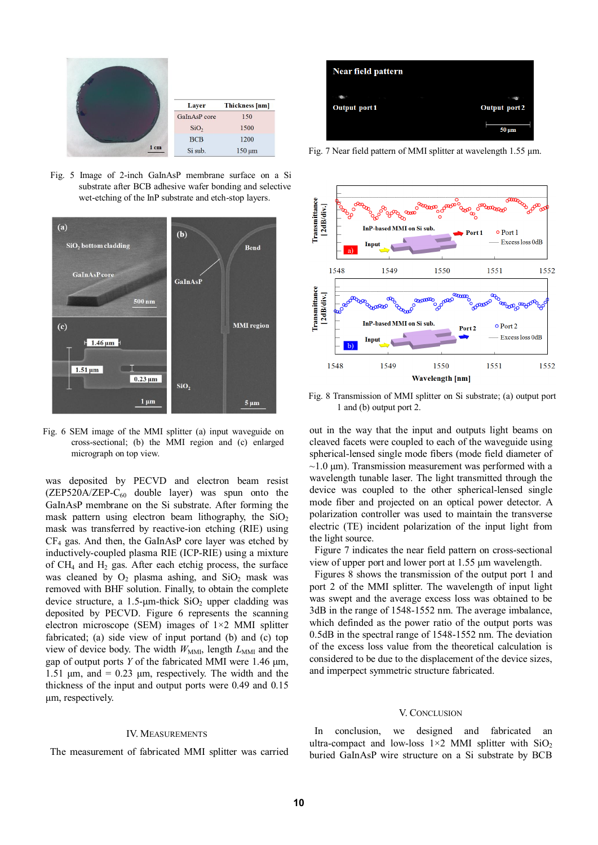

Fig. 5 Image of 2-inch GaInAsP membrane surface on a Si substrate after BCB adhesive wafer bonding and selective wet-etching of the InP substrate and etch-stop layers.



Fig. 6 SEM image of the MMI splitter (a) input waveguide on cross-sectional; (b) the MMI region and (c) enlarged micrograph on top view.

was deposited by PECVD and electron beam resist  $(ZEP520A/ZEP-C<sub>60</sub>$  double layer) was spun onto the GaInAsP membrane on the Si substrate. After forming the mask pattern using electron beam lithography, the  $SiO<sub>2</sub>$ mask was transferred by reactive-ion etching (RIE) using  $CF<sub>4</sub>$  gas. And then, the GaInAsP core layer was etched by inductively-coupled plasma RIE (ICP-RIE) using a mixture of  $CH<sub>4</sub>$  and  $H<sub>2</sub>$  gas. After each etchig process, the surface was cleaned by  $O_2$  plasma ashing, and  $SiO_2$  mask was removed with BHF solution. Finally, to obtain the complete device structure, a  $1.5$ - $\mu$ m-thick SiO<sub>2</sub> upper cladding was deposited by PECVD. Figure 6 represents the scanning electron microscope (SEM) images of  $1\times2$  MMI splitter fabricated; (a) side view of input portand (b) and (c) top view of device body. The width  $W_{\text{MMI}}$ , length  $L_{\text{MMI}}$  and the gap of output ports *Y* of the fabricated MMI were 1.46 μm, 1.51  $\mu$ m, and = 0.23  $\mu$ m, respectively. The width and the thickness of the input and output ports were 0.49 and 0.15 μm, respectively.

#### IV. MEASUREMENTS

The measurement of fabricated MMI splitter was carried



Fig. 7 Near field pattern of MMI splitter at wavelength 1.55 μm.



Fig. 8 Transmission of MMI splitter on Si substrate; (a) output port 1 and (b) output port 2.

out in the way that the input and outputs light beams on cleaved facets were coupled to each of the waveguide using spherical-lensed single mode fibers (mode field diameter of  $\sim$ 1.0  $\mu$ m). Transmission measurement was performed with a wavelength tunable laser. The light transmitted through the device was coupled to the other spherical-lensed single mode fiber and projected on an optical power detector. A polarization controller was used to maintain the transverse electric (TE) incident polarization of the input light from the light source.

Figure 7 indicates the near field pattern on cross-sectional view of upper port and lower port at 1.55 μm wavelength.

Figures 8 shows the transmission of the output port 1 and port 2 of the MMI splitter. The wavelength of input light was swept and the average excess loss was obtained to be 3dB in the range of 1548-1552 nm. The average imbalance, which definded as the power ratio of the output ports was 0.5dB in the spectral range of 1548-1552 nm. The deviation of the excess loss value from the theoretical calculation is considered to be due to the displacement of the device sizes, and imperpect symmetric structure fabricated.

## V. CONCLUSION

In conclusion, we designed and fabricated an ultra-compact and low-loss  $1\times2$  MMI splitter with SiO<sub>2</sub> buried GaInAsP wire structure on a Si substrate by BCB